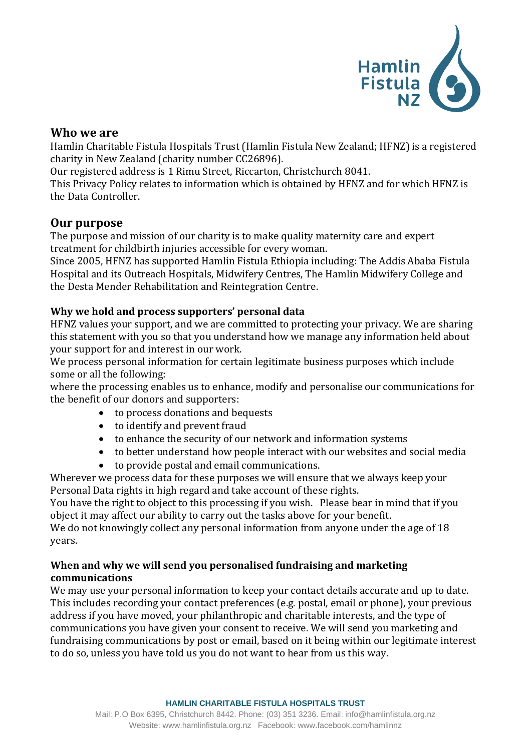

# **Who we are**

Hamlin Charitable Fistula Hospitals Trust (Hamlin Fistula New Zealand; HFNZ) is a registered charity in New Zealand (charity number CC26896).

Our registered address is 1 Rimu Street, Riccarton, Christchurch 8041.

This Privacy Policy relates to information which is obtained by HFNZ and for which HFNZ is the Data Controller. 

# **Our purpose**

The purpose and mission of our charity is to make quality maternity care and expert treatment for childbirth injuries accessible for every woman.

Since 2005, HFNZ has supported Hamlin Fistula Ethiopia including: The Addis Ababa Fistula Hospital and its Outreach Hospitals, Midwifery Centres, The Hamlin Midwifery College and the Desta Mender Rehabilitation and Reintegration Centre.

# **Why we hold and process supporters' personal data**

HFNZ values your support, and we are committed to protecting your privacy. We are sharing this statement with you so that you understand how we manage any information held about your support for and interest in our work.

We process personal information for certain legitimate business purposes which include some or all the following:

where the processing enables us to enhance, modify and personalise our communications for the benefit of our donors and supporters:

- to process donations and bequests
- to identify and prevent fraud
- to enhance the security of our network and information systems
- to better understand how people interact with our websites and social media
- to provide postal and email communications.

Wherever we process data for these purposes we will ensure that we always keep your Personal Data rights in high regard and take account of these rights.

You have the right to object to this processing if you wish.   Please bear in mind that if you object it may affect our ability to carry out the tasks above for your benefit.

We do not knowingly collect any personal information from anyone under the age of 18 years.

### **When and why we will send you personalised fundraising and marketing communications**

We may use your personal information to keep your contact details accurate and up to date. This includes recording your contact preferences (e.g. postal, email or phone), your previous address if you have moved, your philanthropic and charitable interests, and the type of communications you have given your consent to receive. We will send you marketing and fundraising communications by post or email, based on it being within our legitimate interest to do so, unless you have told us you do not want to hear from us this way.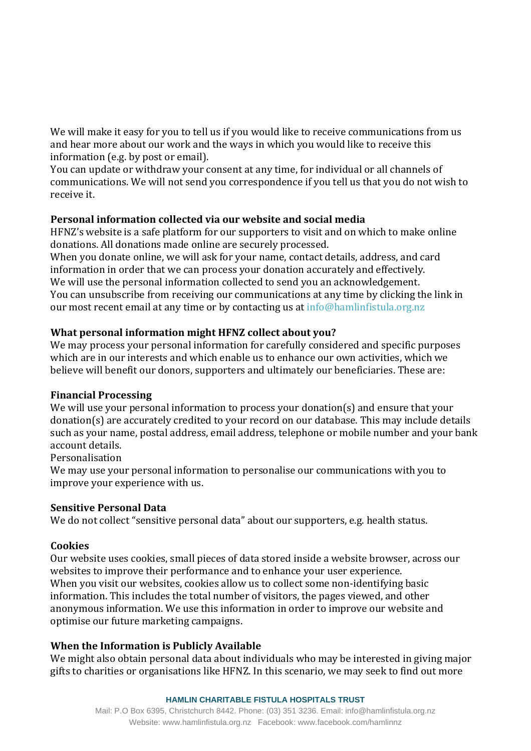We will make it easy for you to tell us if you would like to receive communications from us and hear more about our work and the ways in which you would like to receive this information (e.g. by post or email). 

You can update or withdraw your consent at any time, for individual or all channels of communications. We will not send you correspondence if you tell us that you do not wish to receive it.

### **Personal information collected via our website and social media**

HFNZ's website is a safe platform for our supporters to visit and on which to make online donations. All donations made online are securely processed.  

When you donate online, we will ask for your name, contact details, address, and card information in order that we can process your donation accurately and effectively.  We will use the personal information collected to send you an acknowledgement. You can unsubscribe from receiving our communications at any time by clicking the link in our most recent email at any time or by contacting us at info@hamlinfistula.org.nz

# **What personal information might HFNZ collect about you?**

We may process your personal information for carefully considered and specific purposes which are in our interests and which enable us to enhance our own activities, which we believe will benefit our donors, supporters and ultimately our beneficiaries. These are:

# **Financial Processing**

We will use your personal information to process your donation(s) and ensure that your donation(s) are accurately credited to your record on our database. This may include details such as your name, postal address, email address, telephone or mobile number and your bank account details.

Personalisation

We may use your personal information to personalise our communications with you to improve your experience with us.

#### **Sensitive Personal Data**

We do not collect "sensitive personal data" about our supporters, e.g. health status.

# **Cookies**

Our website uses cookies, small pieces of data stored inside a website browser, across our websites to improve their performance and to enhance your user experience.  When you visit our websites, cookies allow us to collect some non-identifying basic information. This includes the total number of visitors, the pages viewed, and other anonymous information. We use this information in order to improve our website and optimise our future marketing campaigns.

# **When the Information is Publicly Available**

We might also obtain personal data about individuals who may be interested in giving major gifts to charities or organisations like HFNZ. In this scenario, we may seek to find out more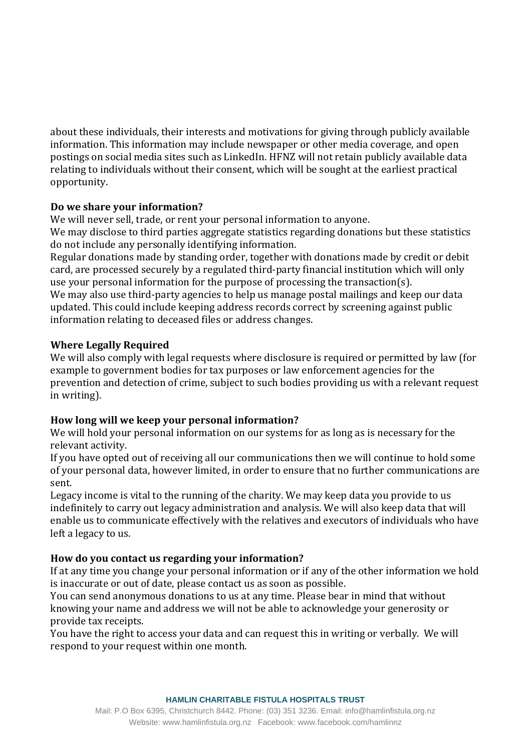about these individuals, their interests and motivations for giving through publicly available information. This information may include newspaper or other media coverage, and open postings on social media sites such as LinkedIn. HFNZ will not retain publicly available data relating to individuals without their consent, which will be sought at the earliest practical opportunity. 

### **Do we share your information?**

We will never sell, trade, or rent your personal information to anyone.

We may disclose to third parties aggregate statistics regarding donations but these statistics do not include any personally identifying information. 

Regular donations made by standing order, together with donations made by credit or debit card, are processed securely by a regulated third-party financial institution which will only use your personal information for the purpose of processing the transaction(s).

We may also use third-party agencies to help us manage postal mailings and keep our data updated. This could include keeping address records correct by screening against public information relating to deceased files or address changes.

### **Where Legally Required**

We will also comply with legal requests where disclosure is required or permitted by law (for example to government bodies for tax purposes or law enforcement agencies for the prevention and detection of crime, subject to such bodies providing us with a relevant request in writing).

# **How long will we keep your personal information?**

We will hold your personal information on our systems for as long as is necessary for the relevant activity.

If you have opted out of receiving all our communications then we will continue to hold some of your personal data, however limited, in order to ensure that no further communications are sent.  

Legacy income is vital to the running of the charity. We may keep data you provide to us indefinitely to carry out legacy administration and analysis. We will also keep data that will enable us to communicate effectively with the relatives and executors of individuals who have left a legacy to us.

# **How do you contact us regarding your information?**

If at any time you change your personal information or if any of the other information we hold is inaccurate or out of date, please contact us as soon as possible.

You can send anonymous donations to us at any time. Please bear in mind that without knowing your name and address we will not be able to acknowledge your generosity or provide tax receipts.

You have the right to access your data and can request this in writing or verbally.  We will respond to your request within one month.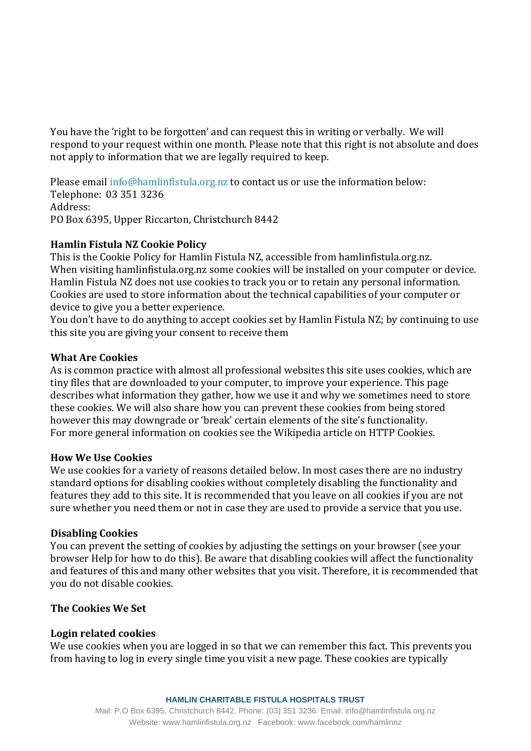You have the 'right to be forgotten' and can request this in writing or verbally.  We will respond to your request within one month. Please note that this right is not absolute and does not apply to information that we are legally required to keep.  

Please email info@hamlinfistula.org.nz to contact us or use the information below: Telephone:  03 351 3236 Address: PO Box 6395, Upper Riccarton, Christchurch 8442

# **Hamlin Fistula NZ Cookie Policy**

This is the Cookie Policy for Hamlin Fistula NZ, accessible from hamlinfistula.org.nz. When visiting hamlinfistula.org.nz some cookies will be installed on your computer or device. Hamlin Fistula NZ does not use cookies to track you or to retain any personal information. Cookies are used to store information about the technical capabilities of your computer or device to give you a better experience.

You don't have to do anything to accept cookies set by Hamlin Fistula NZ; by continuing to use this site you are giving your consent to receive them

#### **What Are Cookies**

As is common practice with almost all professional websites this site uses cookies, which are tiny files that are downloaded to your computer, to improve your experience. This page describes what information they gather, how we use it and why we sometimes need to store these cookies. We will also share how you can prevent these cookies from being stored however this may downgrade or 'break' certain elements of the site's functionality. For more general information on cookies see the Wikipedia article on HTTP Cookies.

#### **How We Use Cookies**

We use cookies for a variety of reasons detailed below. In most cases there are no industry standard options for disabling cookies without completely disabling the functionality and features they add to this site. It is recommended that you leave on all cookies if you are not sure whether you need them or not in case they are used to provide a service that you use.

#### **Disabling Cookies**

You can prevent the setting of cookies by adjusting the settings on your browser (see your browser Help for how to do this). Be aware that disabling cookies will affect the functionality and features of this and many other websites that you visit. Therefore, it is recommended that you do not disable cookies.

#### **The Cookies We Set**

#### **Login related cookies**

We use cookies when you are logged in so that we can remember this fact. This prevents you from having to log in every single time you visit a new page. These cookies are typically